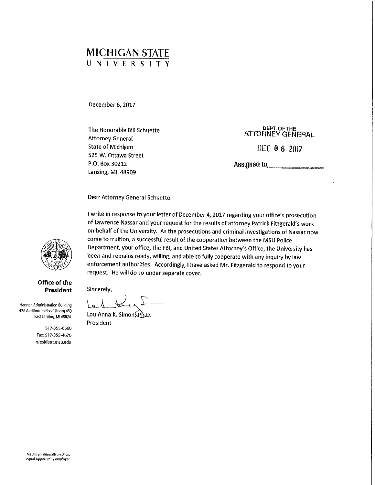## MICHIGAN STATE UNIVERSITY

December 6, 2017

The Honorable Bill Schuette<br>
ATTORNEY GENERAL<br>
ATTORNEY GENERAL State of Michigan DEC 0 6 2017 525 W. Ottawa Street P.O. Box 30212 Lansing, Ml 48909

Assigned to **Manufacturers** 

Dear Attorney General Schuette:

I write in response to your letter of December 4, 2017 regarding your office's prosecution of Lawrence Nassar and your request for the results of attorney Patrick Fitzgerald's work on behalf of the University. As the prosecutions and criminal investigations of Nassar now come to fruition, a successful result of the cooperation between the MSU Police Department, your office, the FBI, and United States Attorney's Office, the University has been and remains ready, willing, and able to fully cooperate with any inquiry by law enforcement authorities. Accordingly, I have asked Mr. Fitzgerald to respond to your request. He will do so under separate cover.

Sincerely,

Hannah Administration Building 426 Auditorium Road, Room 450 East Lansing, Ml 48BZ4

> 517-355-6560 Fax: 517-355-4670 president.msu.edu

 $la_1, \ldots, \ldots$ Lou Anna K. Simon (Ph.D.

President



**Office of the President**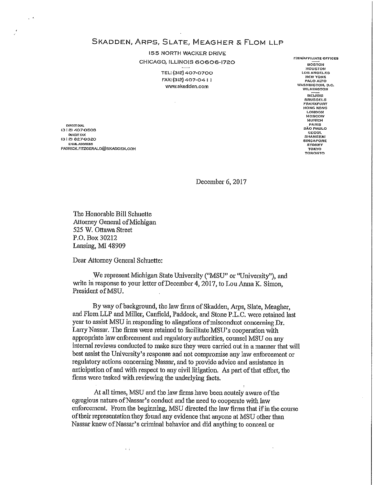SKADDEN, ARPS, SLATE, MEAGHER & FLOM LLP

155 NORTH WACKER DRIVE CHICAGO, ILLINOIS 60606-1720 **FIRM/AFFILIATE OFFICES** 

> **TEL: (312} 407-0700 LOS ANGELES**  FAX: (312) 407-04 I I **NEW YORK**   $www.skadden.com$

**BOSTON HOUSTON<br>LOS ANGELES<br>NEW YORK** PALO ALTO **WILMINGTON BEIJING BRUSSELS FRANKFURT HONG KONG LONDON MOSCOW MUNICH EXAMPLE**<br>SÃO PAULO **SEOUL SHANGHAI**  SINGAPORE<br>SYDNEY **TORONTO** 

**DIRECT CXA.L PARIS (3 I 2) 407-0508 O!REcrl'AX (31 2) 827-9320 EMM. ADDRESS SYDNEY PATRICK.FnzGERALD@SKADDEN.COM TOKYO** 

December 6, 2017

The Honorable Bill Schuette Attorney General ofMichigan 525 W. Ottawa Street P.O. Box 30212 Lansing, Ml 48909

Dear Attorney General Schuette:

 $\sim$  1

We represent Michigan State University ("MSU" or "University"), and write in response to your letter of December 4, 2017, to Lou Anna K. Simon, President of MSU.

By way of background, the law firms of Skadden, Arps, Slate, Meagher, and Flom LLP and Miller, Canfield, Paddock, and Stone P.L.C. were retained last year to assist MSU in responding to allegations of misconduct concerning Dr. Larry Nassar. The firms were retained to facilitate MSU's cooperation with appropriate law enforcement and regulatory authorities, counsel MSU on any internal reviews conducted to make sure they were carried out in a manner that will best assist the University's response and not compromise any law enforcement or regulatory actions concerning Nassar, and to provide advice and assistance in anticipation of and with respect to any civil litigation. As part of that effort, the firms were tasked with reviewing the underlying facts.

At all times, MSU and the law firms have been acutely aware ofthe egregious nature of Nassar's conduct and the need to cooperate with law enforcement. From the beginning, MSU directed the law firms that if in the course of their representation they found any evidence that anyone at MSU other than Nassar knew of Nassar's criminal behavior and did anything to conceal or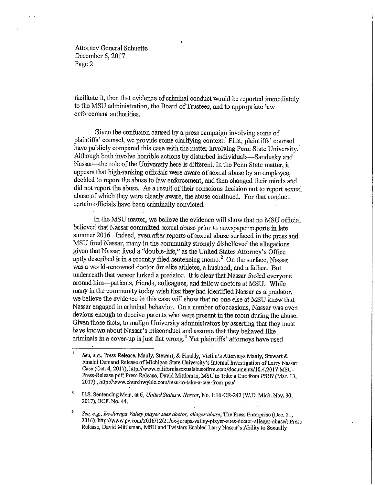Attorney General Schuette December 6, 2017 Page 2

facilitate it, then that evidence of criminal conduct would be reported immediately to the MSU administration, the Board of Trustees, and to appropriate law enforcement authorities.

Given the confusion caused by a press campaign involving some of plaintiffs' counsel, we provide some clarifying context: First, plaintiffs' counsel have publicly compared this case with the matter involving Penn State University.<sup>1</sup> Although both involve horrible actions by disturbed individuals-Sandusky and Nassar-the role of the University here is different. In the Penn State matter, it appears that high-ranking officials were aware of sexual abuse by an employee, decided to report the abuse to law enforcement, and then changed their minds and did not report the abuse. As a result of their conscious decision not to report sexual abuse ofwhich they were clearly aware, the abuse continued. For that conduct, certain officials have been criminally convicted.

In the MSU matter, we believe the evidence will show that no MSU official believed that Nassar committed sexual abuse prior to newspaper reports in late summer 2016. Indeed, even after reports of sexual abuse surfaced in the press and MSU fired Nassar, many in the community strongly disbelieved the allegations given that Nassar lived a "double-life," as the United States Attorney's Office aptly described it in a recently filed sentencing memo.<sup>2</sup>. On the surface, Nassar was a world-renowned doctor for elite athletes, a husband, and a father. But underneath that veneer lurked a predator. It is clear that Nassar fooled everyone around him-patients, friends, colleagues, and fellow doctors at MSU. While many in the community today wish that they had identified Nassar as a predator, we believe the evidence in this case will show that no one else at MSU knew that Nassar engaged in criminal behavior. On a number ofoccasions, Nassar was even devious enough to deceive parents who were present in the room during the abuse. Given those facts, to malign University administrators by asserting that they must have known about Nassar's misconduct and assume that they behaved like criminals in a cover-up is just flat wrong.<sup>3</sup> Yet plaintiffs' attorneys have used

 $\mathbf 1$ *See, e,g.,* Press Release, Manly, Stewart, & Finaldy, Victim's Attorneys Manly, Stewart & Finaldi Demand Release of Michigan State University's Internal Investigation of Larry Nassar Case (Oct. 4, 2017), http://www.californiasexualabusefirm.com/documents/l0.4.2017-MSU-Press-Release.pdf; Press Release, David Mittleman, MSU to Take a Cuc from PSU? (Mar. 13, 2017) , http://www.churchwyble.com/msu-to-take-a-cue-from-psu/

<sup>&</sup>lt;sup>2</sup> U.S. Sentencing Mem. at 6, *United States v. Nassar*, No. 1:16-CR-242 (W.D. Mich. Nov. 30, 2017), ECF. No. 44.

<sup>s</sup>*See, e.g., Ex-Jurupa Valley player sues doct01~ alleges·abuse,* **The Press Enterprise (Dec. 21,**  2016), http://www.pe.com/2016/12/21/ex-jurupa-valley-player-sues-doctor-alleges-abuse/; Press Release, David Mittleman, MSU and Twistars Enabled Larry Nassar's Ability to Sexually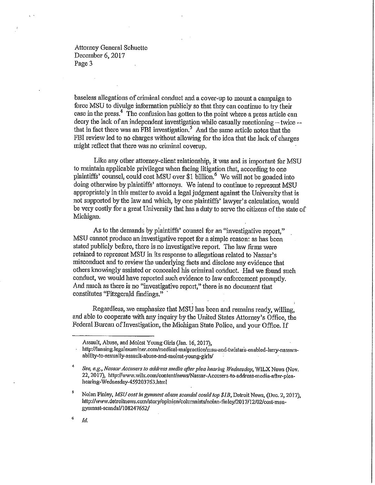Attorney General Schuette December 6, 2017 Page 3

baseless allegations of criminal conduct and a cover-up to mount a campaign to force MSU to divulge information publicly so that they can continue to try their case in the press.<sup>4</sup> The confusion has gotten to the point where a press article can decry the lack of an independent investigation while casually mentioning  $-$  twice  $$ that in fact there was an FBI investigation.*5* And the same aiticle notes that the FBI review led to no charges without allowing for the idea that the lack of charges might reflect that there was no criminal coverup.

Like any other attorney-client relationship, it was and is important for MSU to maintain applicable privileges when facing litigation that, according to one plaintiffs' counsel, could cost MSU over \$1 billion.<sup>6</sup> We will not be goaded into doing otherwise by plaintiffs' attorneys. We intend to continue to represent MSU appropriately in this matter to avoid a legal judgment against the University that is not supported by the law and which, by one plaintiffs' lawyer's calculation, would be very costly for a great University that has a duty to serve the citizens ofthe state of Michigan.

As to the demands by plaintiffs' counsel for an "investigative report," MSU cannot produce an investigative report for a simple reason: as has been stated publicly before, there is no investigative report. The law firms were retained to represent MSU in its response to allegations related to Nassar's misconduct and to review the underlying facts and disclose any evidence that others knowingly assisted or concealed his criminal conduct. · Had we found such conduct, we would have reported snch evidence to law enforcement promptly. And much as there is no "investigative report," there is no document that constitutes ''Fitzgerald findings."

Regardless, we emphasize that MSU has been and remains ready, willing, and able to cooperate with any inquiry by the United States Attorney's Office, the Federal Bureau of Investigation, the Michigan State Police, and your Office. If

<sup>6</sup> *Id.* 

Assault, Abuse, and Molest Young Girls (Jan. 16, 2017),

http://lansing.legalexaminer.com/medical-malpractice/msu-and-twistars-enabled-larry-nassarsability-to-sexualJy-assault-abuse-and-molest-young-girls/

<sup>4</sup> *See, e.g., Nassar Accusers to address media after plea hearing Wednesday,* WILX News (Nov. 22, 2017), http://www.wilx.com/content/news/Nassar-Accusers-to-address-media-after-pleahearing-Wednesday-459203763.html

<sup>&</sup>lt;sup>5</sup> Nolan Finley, *MSU cost in gymnast abuse scandal could top \$1B*, Detroit News, (Dec. 2, 2017), http://www.detroitnews.com/story/opinion/columnists/nolan-finley/2017/12/02/cost-msugymnast-scandal/108247652/